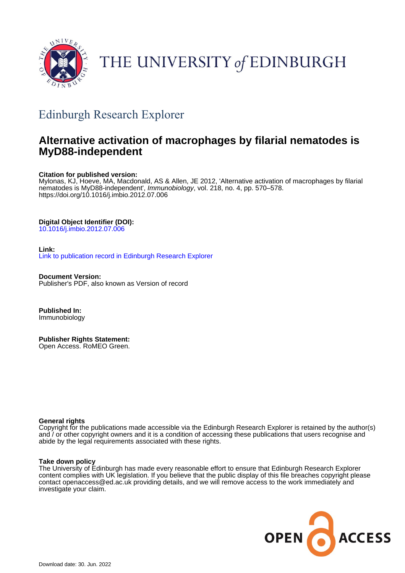

# THE UNIVERSITY of EDINBURGH

# Edinburgh Research Explorer

# **Alternative activation of macrophages by filarial nematodes is MyD88-independent**

## **Citation for published version:**

Mylonas, KJ, Hoeve, MA, Macdonald, AS & Allen, JE 2012, 'Alternative activation of macrophages by filarial nematodes is MyD88-independent', Immunobiology, vol. 218, no. 4, pp. 570–578. <https://doi.org/10.1016/j.imbio.2012.07.006>

## **Digital Object Identifier (DOI):**

[10.1016/j.imbio.2012.07.006](https://doi.org/10.1016/j.imbio.2012.07.006)

## **Link:**

[Link to publication record in Edinburgh Research Explorer](https://www.research.ed.ac.uk/en/publications/ad4535c6-b98b-4b9e-8b48-0c669ced776d)

**Document Version:** Publisher's PDF, also known as Version of record

**Published In:** Immunobiology

**Publisher Rights Statement:** Open Access. RoMEO Green.

### **General rights**

Copyright for the publications made accessible via the Edinburgh Research Explorer is retained by the author(s) and / or other copyright owners and it is a condition of accessing these publications that users recognise and abide by the legal requirements associated with these rights.

### **Take down policy**

The University of Edinburgh has made every reasonable effort to ensure that Edinburgh Research Explorer content complies with UK legislation. If you believe that the public display of this file breaches copyright please contact openaccess@ed.ac.uk providing details, and we will remove access to the work immediately and investigate your claim.

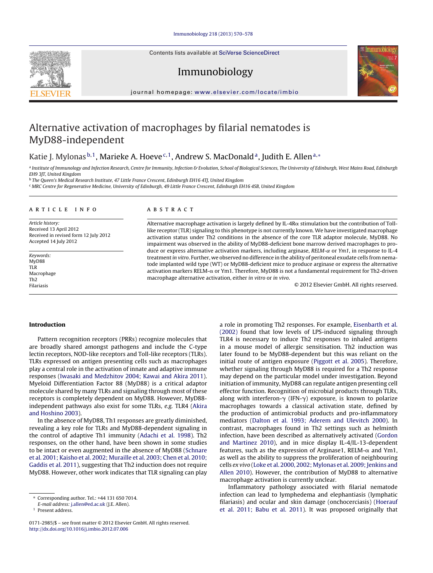Contents lists available at SciVerse [ScienceDirect](http://www.sciencedirect.com/science/journal/01712985)

## Immunobiology



jou rnal homepa ge: [www.elsevier.com/locate/imbio](http://www.elsevier.com/locate/imbio)

## Alternative activation of macrophages by filarial nematodes is MyD88-independent

## Katie J. Mylonas  $b,1$ , Marieke A. Hoeve<sup>c, 1</sup>, Andrew S. MacDonald<sup>a</sup>, Judith E. Allen<sup>a,\*</sup>

a Institute of Immunology and Infection Research, Centre for Immunity, Infection & Evolution, School of Biological Sciences, The University of Edinburgh, West Mains Road, Edinburgh EH9 3JT, United Kingdom

<sup>b</sup> The Queen's Medical Research Institute, 47 Little France Crescent, Edinburgh EH16 4TJ, United Kingdom

<sup>c</sup> MRC Centre for Regenerative Medicine, University of Edinburgh, 49 Little France Crescent, Edinburgh EH16 4SB, United Kingdom

#### a r t i c l e i n f o

Article history: Received 13 April 2012 Received in revised form 12 July 2012 Accepted 14 July 2012

Keywords: MyD88 TLR Macrophage Th2 Filariasis

#### A B S T R A C T

Alternative macrophage activation is largely defined by IL-4R $\alpha$  stimulation but the contribution of Tolllike receptor (TLR) signaling to this phenotype is not currently known. We have investigated macrophage activation status under Th2 conditions in the absence of the core TLR adaptor molecule, MyD88. No impairment was observed in the ability of MyD88-deficient bone marrow derived macrophages to produce or express alternative activation markers, including arginase, RELM- $\alpha$  or Ym1, in response to IL-4 treatmentin vitro. Further, we observed no difference in the ability of peritoneal exudate cells from nematode implanted wild type (WT) or MyD88-deficient mice to produce arginase or express the alternative activation markers RELM- $\alpha$  or Ym1. Therefore, MyD88 is not a fundamental requirement for Th2-driven macrophage alternative activation, either in vitro or in vivo.

© 2012 Elsevier GmbH. All rights reserved.

#### **Introduction**

Pattern recognition receptors (PRRs) recognize molecules that are broadly shared amongst pathogens and include the C-type lectin receptors, NOD-like receptors and Toll-like receptors (TLRs). TLRs expressed on antigen presenting cells such as macrophages play a central role in the activation of innate and adaptive immune responses [\(Iwasaki](#page-8-0) [and](#page-8-0) [Medzhitov](#page-8-0) [2004;](#page-8-0) [Kawai](#page-8-0) [and](#page-8-0) [Akira](#page-8-0) [2011\).](#page-8-0) Myeloid Differentiation Factor 88 (MyD88) is a critical adaptor molecule shared by many TLRs and signaling through most of these receptors is completely dependent on MyD88. However, MyD88 independent pathways also exist for some TLRs, e.g. TLR4 [\(Akira](#page-8-0) [and](#page-8-0) [Hoshino](#page-8-0) [2003\).](#page-8-0)

In the absence of MyD88, Th1 responses are greatly diminished, revealing a key role for TLRs and MyD88-dependent signaling in the control of adaptive Th1 immunity [\(Adachi](#page-8-0) et [al.](#page-8-0) [1998\).](#page-8-0) Th2 responses, on the other hand, have been shown in some studies to be intact or even augmented in the absence of MyD88 ([Schnare](#page-9-0) et [al.](#page-9-0) [2001;](#page-9-0) [Kaisho](#page-9-0) et [al.](#page-9-0) [2002;](#page-9-0) [Muraille](#page-9-0) et [al.](#page-9-0) [2003;](#page-9-0) [Chen](#page-9-0) et [al.](#page-9-0) [2010;](#page-9-0) [Gaddis](#page-9-0) et [al.](#page-9-0) [2011\),](#page-9-0) suggesting that Th2 induction does not require MyD88. However, other work indicates that TLR signaling can play a role in promoting Th2 responses. For example, [Eisenbarth](#page-8-0) et [al.](#page-8-0) [\(2002\)](#page-8-0) found that low levels of LPS-induced signaling through TLR4 is necessary to induce Th2 responses to inhaled antigens in a mouse model of allergic sensitisation. Th2 induction was later found to be MyD88-dependent but this was reliant on the initial route of antigen exposure [\(Piggott](#page-9-0) et [al.](#page-9-0) [2005\).](#page-9-0) Therefore, whether signaling through MyD88 is required for a Th2 response may depend on the particular model under investigation. Beyond initiation of immunity, MyD88 can regulate antigen presenting cell effector function. Recognition of microbial products through TLRs, along with interferon- $\gamma$  (IFN- $\gamma$ ) exposure, is known to polarize macrophages towards a classical activation state, defined by the production of antimicrobial products and pro-inflammatory mediators [\(Dalton](#page-8-0) et [al.](#page-8-0) [1993;](#page-8-0) [Aderem](#page-8-0) [and](#page-8-0) [Ulevitch](#page-8-0) [2000\).](#page-8-0) In contrast, macrophages found in Th2 settings such as helminth infection, have been described as alternatively activated [\(Gordon](#page-8-0) [and](#page-8-0) [Martinez](#page-8-0) [2010\),](#page-8-0) and in mice display IL-4/IL-13-dependent features, such as the expression of Arginase1, RELM- $\alpha$  and Ym1, as well as the ability to suppress the proliferation of neighbouring cells ex vivo ([Loke](#page-9-0) et [al.](#page-9-0) [2000,](#page-9-0) [2002;](#page-9-0) [Mylonas](#page-9-0) et al. 2009; Jenkins [and](#page-9-0) [Allen](#page-9-0) [2010\).](#page-9-0) However, the contribution of MyD88 to alternative macrophage activation is currently unclear.

Inflammatory pathology associated with filarial nematode infection can lead to lymphedema and elephantiasis (lymphatic filariasis) and ocular and skin damage (onchocerciasis) [\(Hoerauf](#page-8-0) et [al.](#page-8-0) [2011;](#page-8-0) [Babu](#page-8-0) et [al.](#page-8-0) [2011\).](#page-8-0) It was proposed originally that



<sup>∗</sup> Corresponding author. Tel.: +44 131 650 7014.

E-mail address: [j.allen@ed.ac.uk](mailto:j.allen@ed.ac.uk) (J.E. Allen).

<sup>1</sup> Present address.

<sup>0171-2985/\$</sup> – see front matter © 2012 Elsevier GmbH. All rights reserved. [http://dx.doi.org/10.1016/j.imbio.2012.07.006](dx.doi.org/10.1016/j.imbio.2012.07.006)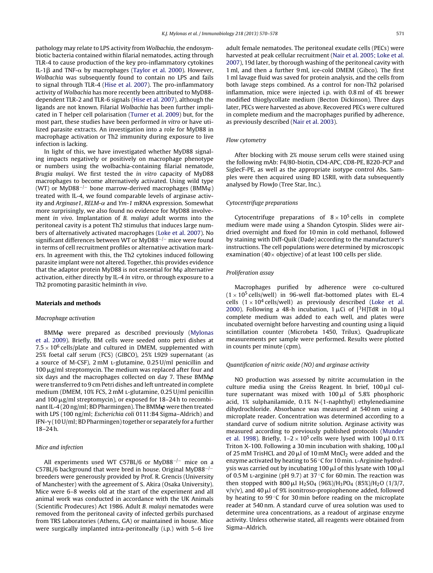pathology may relate to LPS activity from Wolbachia, the endosymbiotic bacteria contained within filarial nematodes, acting through TLR-4 to cause production of the key pro-inflammatory cytokines IL-1 $\beta$  and TNF- $\alpha$  by macrophages [\(Taylor](#page-9-0) et [al.](#page-9-0) [2000\).](#page-9-0) However, Wolbachia was subsequently found to contain no LPS and fails to signal through TLR-4 [\(Hise](#page-8-0) et [al.](#page-8-0) [2007\).](#page-8-0) The pro-inflammatory activity of Wolbachia has more recently been attributed to MyD88 dependent TLR-2 and TLR-6 signals [\(Hise](#page-8-0) et [al.](#page-8-0) [2007\),](#page-8-0) although the ligands are not known. Filarial Wolbachia has been further implicated in T helper cell polarisation [\(Turner](#page-9-0) et [al.](#page-9-0) [2009\)](#page-9-0) but, for the most part, these studies have been performed in vitro or have utilized parasite extracts. An investigation into a role for MyD88 in macrophage activation or Th2 immunity during exposure to live infection is lacking.

In light of this, we have investigated whether MyD88 signaling impacts negatively or positively on macrophage phenotype or numbers using the wolbachia-containing filarial nematode, Brugia malayi. We first tested the in vitro capacity of MyD88 macrophages to become alternatively activated. Using wild type (WT) or MyD88<sup>-/-</sup> bone marrow-derived macrophages (BMM $\varphi$ ) treated with IL-4, we found comparable levels of arginase activity and Arginase1, RELM- $\alpha$  and Ym-1 mRNA expression. Somewhat more surprisingly, we also found no evidence for MyD88 involvement in vivo. Implantation of B. malayi adult worms into the peritoneal cavity is a potent Th2 stimulus that induces large numbers of alternatively activated macrophages ([Loke](#page-9-0) et [al.](#page-9-0) [2007\).](#page-9-0) No significant differences between WT or MyD88−/<sup>−</sup> mice were found in terms of cell recruitment profiles or alternative activation markers. In agreement with this, the Th2 cytokines induced following parasite implant were not altered. Together, this provides evidence that the adaptor protein MyD88 is not essential for  $M\varphi$  alternative activation, either directly by IL-4 in vitro, or through exposure to a Th2 promoting parasitic helminth in vivo.

#### **Materials and methods**

#### Macrophage activation

BMM $\bm{\varphi}$  were prepared as described previously ([Mylonas](#page-9-0) et [al.](#page-9-0) [2009\).](#page-9-0) Briefly, BM cells were seeded onto petri dishes at  $7.5 \times 10^6$  cells/plate and cultured in DMEM, supplemented with 25% foetal calf serum (FCS) (GIBCO), 25% L929 supernatant (as a source of M-CSF), 2 mM L-glutamine, 0.25 U/ml penicillin and  $100 \mu$ g/ml streptomycin. The medium was replaced after four and six days and the macrophages collected on day 7. These BMM $\bm{\varphi}$ were transferred to 9 cm Petri dishes and left untreated in complete medium (DMEM, 10% FCS, 2 mM l-glutamine, 0.25 U/ml penicillin and 100  $\mu$ g/ml streptomycin), or exposed for 18-24 h to recombinant IL-4 (20 ng/ml; BD Pharmingen). The BMM $\bm{\varphi}$  were then treated with LPS (100 ng/ml; Escherichia coli 0111:B4 Sigma–Aldrich) and IFN- $\gamma$  (10 U/ml; BD Pharmingen) together or separately for a further 18–24 h.

#### Mice and infection

All experiments used WT C57BL/6 or MyD88<sup>-/-</sup> mice on a C57BL/6 background that were bred in house. Original MyD88−/<sup>−</sup> breeders were generously provided by Prof. R. Grencis (University of Manchester) with the agreement of S. Akira (Osaka University). Mice were 6–8 weeks old at the start of the experiment and all animal work was conducted in accordance with the UK Animals (Scientific Prodecures) Act 1986. Adult B. malayi nematodes were removed from the peritoneal cavity of infected gerbils purchased from TRS Laboratories (Athens, GA) or maintained in house. Mice were surgically implanted intra-peritoneally (i.p.) with 5–6 live adult female nematodes. The peritoneal exudate cells (PECs) were harvested at peak cellular recruitment [\(Nair](#page-9-0) et [al.](#page-9-0) [2005;](#page-9-0) [Loke](#page-9-0) et [al.](#page-9-0) [2007\),](#page-9-0) 19d later, by thorough washing of the peritoneal cavity with 1 ml, and then a further 9 ml, ice-cold DMEM (Gibco). The first 1 ml lavage fluid was saved for protein analysis, and the cells from both lavage steps combined. As a control for non-Th2 polarised inflammation, mice were injected i.p. with 0.8 ml of 4% brewer modified thioglycollate medium (Becton Dickinson). Three days later, PECs were harvested as above. Recovered PECs were cultured in complete medium and the macrophages purified by adherence, as previously described ([Nair](#page-9-0) et [al.](#page-9-0) [2003\).](#page-9-0)

#### Flow cytometry

After blocking with 2% mouse serum cells were stained using the following mAb: F4/80-biotin, CD4-APC, CD8-PE, B220-PCP and SiglecF-PE, as well as the appropriate isotype control Abs. Samples were then acquired using BD LSRII, with data subsequently analysed by FlowJo (Tree Star, Inc.).

#### Cytocentrifuge preparations

Cytocentrifuge preparations of  $8 \times 10^5$  cells in complete medium were made using a Shandon Cytospin. Slides were airdried overnight and fixed for 10 min in cold methanol, followed by staining with Diff-Quik (Dade) according to the manufacturer's instructions. The cell populations were determined by microscopic examination (40 $\times$  objective) of at least 100 cells per slide.

#### Proliferation assay

Macrophages purified by adherence were co-cultured  $(1 \times 10^5 \text{ cells/well})$  in 96-well flat-bottomed plates with EL-4 cells  $(1 \times 10^4 \text{ cells/well})$  as previously described [\(Loke](#page-9-0) et [al.](#page-9-0) [2000\).](#page-9-0) Following a 48-h incubation,  $1 \mu$ Ci of  $[{}^{3}H]$ TdR in  $10 \mu$ l complete medium was added to each well, and plates were incubated overnight before harvesting and counting using a liquid scintillation counter (Microbeta 1450, Trilux). Quadruplicate measurements per sample were performed. Results were plotted in counts per minute (cpm).

#### Quantification of nitric oxide (NO) and arginase activity

NO production was assessed by nitrite accumulation in the culture media using the Greiss Reagent. In brief,  $100 \mu l$  culture supernatant was mixed with  $100 \mu l$  of 5.8% phosphoric acid, 1% sulphanilamide, 0.1% N-(1-naphthyl) ethylenediamine dihydrochloride. Absorbance was measured at 540 nm using a microplate reader. Concentration was determined according to a standard curve of sodium nitrite solution. Arginase activity was measured according to previously published protocols ([Munder](#page-9-0) et [al.](#page-9-0) [1998\).](#page-9-0) Briefly,  $1-2 \times 10^5$  cells were lysed with 100  $\mu$ l 0.1% Triton X-100. Following a 30 min incubation with shaking,  $100 \mu l$ of 25 mM TrisHCL and 20  $\mu$ l of 10 mM MnCl<sub>2</sub> were added and the enzyme activated by heating to 56  $\degree$ C for 10 min. L-Arginine hydrolysis was carried out by incubating 100  $\mu$ l of this lysate with 100  $\mu$ l of 0.5 M l-arginine (pH 9.7) at 37 ◦C for 60 min. The reaction was then stopped with 800  $\mu$ l H<sub>2</sub>SO<sub>4</sub> (96%)/H<sub>3</sub>PO<sub>4</sub> (85%)/H<sub>2</sub>O (1/3/7,  $v/v/v$ ), and 40  $\mu$ l of 9% isonitroso-propiophenone added, followed by heating to 99 ℃ for 30 min before reading on the microplate reader at 540 nm. A standard curve of urea solution was used to determine urea concentrations, as a readout of arginase enzyme activity. Unless otherwise stated, all reagents were obtained from Sigma–Aldrich.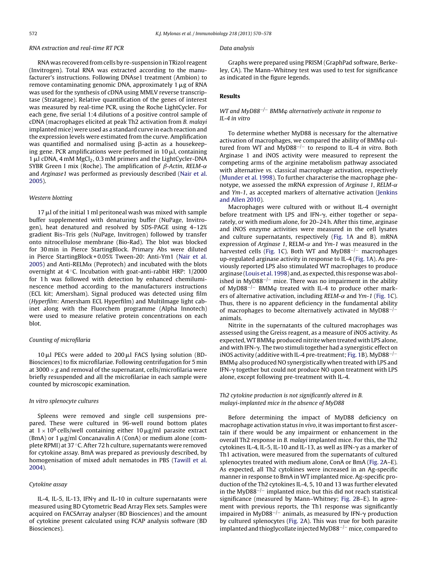#### RNA extraction and real-time RT PCR

#### RNA was recoveredfromcells by re-suspensioninTRizol reagent (Invitrogen). Total RNA was extracted according to the manufacturer's instructions. Following DNAse1 treatment (Ambion) to remove contaminating genomic DNA, approximately  $1 \mu$ g of RNA was used for the synthesis of cDNA using MMLV reverse transcriptase (Stratagene). Relative quantification of the genes of interest was measured by real-time PCR, using the Roche LightCycler. For each gene, five serial 1:4 dilutions of a positive control sample of cDNA (macrophages elicited at peak Th2 activation from B. malayi implanted mice) were used as a standard curve in each reaction and the expression levels were estimated from the curve. Amplification was quantified and normalised using  $\beta$ -actin as a housekeeping gene. PCR amplifications were performed in  $10 \mu$ , containing  $1 \mu$ l cDNA,  $4 \text{ mM MgCl}_2$ , 0.3 mM primers and the LightCycler-DNA SYBR Green I mix (Roche). The amplification of  $\beta$ -Actin, RELM- $\alpha$ and Arginase1 was performed as previously described [\(Nair](#page-9-0) et [al.](#page-9-0) [2005\).](#page-9-0)

#### Western blotting

 $17 \mu$  of the initial 1 ml peritoneal wash was mixed with sample buffer supplemented with denaturing buffer (NuPage, Invitrogen), heat denatured and resolved by SDS-PAGE using 4–12% gradient Bis–Tris gels (NuPage, Invitrogen) followed by transfer onto nitrocellulose membrane (Bio-Rad). The blot was blocked for 30 min in Pierce StartingBlock. Primary Abs were diluted in Pierce StartingBlock + 0.05% Tween-20: Anti-Ym1 [\(Nair](#page-9-0) et [al.](#page-9-0) [2005\)](#page-9-0) and Anti-RELM $\alpha$  (Peprotech) and incubated with the blots overnight at 4 ◦C. Incubation with goat-anti-rabbit HRP: 1/2000 for 1 h was followed with detection by enhanced chemiluminescence method according to the manufacturers instructions (ECL kit; Amersham). Signal produced was detected using film (Hyperfilm: Amersham ECL Hyperfilm) and MultiImage light cabinet along with the Fluorchem programme (Alpha Innotech) were used to measure relative protein concentrations on each blot.

#### Counting of microfilaria

 $10 \mu$ l PECs were added to 200  $\mu$ l FACS lysing solution (BD-Biosciences) to fix microfilariae. Following centrifugation for 5 min at 3000  $\times$  g and removal of the supernatant, cells/microfilaria were briefly resuspended and all the microfilariae in each sample were counted by microscopic examination.

#### In vitro splenocyte cultures

Spleens were removed and single cell suspensions prepared. These were cultured in 96-well round bottom plates at  $1 \times 10^6$  cells/well containing either 10  $\mu$ g/ml parasite extract (BmA) or  $1 \mu g/ml$  Concanavalin A (ConA) or medium alone (complete RPMI) at 37 ◦C. After 72 h culture, supernatants were removed for cytokine assay. BmA was prepared as previously described, by homogenisation of mixed adult nematodes in PBS ([Tawill](#page-9-0) et [al.](#page-9-0) [2004\).](#page-9-0)

#### Cytokine assay

IL-4, IL-5, IL-13, IFN $\gamma$  and IL-10 in culture supernatants were measured using BD Cytometric Bead Array Flex sets. Samples were acquired on FACSArray analyser (BD Biosciences) and the amount of cytokine present calculated using FCAP analysis software (BD Biosciences).

#### Data analysis

Graphs were prepared using PRISM (GraphPad software, Berkeley, CA). The Mann–Whitney test was used to test for significance as indicated in the figure legends.

#### **Results**

#### WT and MyD88<sup>-/-</sup> BMM $\varphi$  alternatively activate in response to IL-4 in vitro

To determine whether MyD88 is necessary for the alternative activation of macrophages, we compared the ability of BMM<sub>o</sub> cultured from WT and MyD88<sup>-/-</sup> to respond to IL-4 in vitro. Both Arginase 1 and iNOS activity were measured to represent the competing arms of the arginine metabolism pathway associated with alternative vs. classical macrophage activation, respectively [\(Munder](#page-9-0) et [al.](#page-9-0) [1998\).](#page-9-0) To further characterise the macrophage phenotype, we assessed the mRNA expression of Arginase 1, RELM- $\alpha$ and Ym-1, as accepted markers of alternative activation ([Jenkins](#page-8-0) [and](#page-8-0) [Allen](#page-8-0) [2010\).](#page-8-0)

Macrophages were cultured with or without IL-4 overnight before treatment with LPS and IFN- $\gamma$ , either together or separately, or with medium alone, for 20–24 h. After this time, arginase and iNOS enzyme activities were measured in the cell lysates and culture supernatants, respectively [\(Fig.](#page-4-0) 1A and B). mRNA expression of Arginase 1, RELM- $\alpha$  and Ym-1 was measured in the harvested cells [\(Fig.](#page-4-0) 1C). Both WT and MyD88−/<sup>−</sup> macrophages up-regulated arginase activity in response to IL-4 [\(Fig.](#page-4-0) 1A). As previously reported LPS also stimulated WT macrophages to produce arginase ([Louis](#page-9-0) et [al.](#page-9-0) [1998\)](#page-9-0) and, as expected, this response was abolished in MyD88<sup> $-/-$ </sup> mice. There was no impairment in the ability of MyD88<sup>-/-</sup> BMM $\varphi$  treated with IL-4 to produce other markers of alternative activation, including  $RELM-\alpha$  and  $Ym-1$  ([Fig.](#page-4-0) 1C). Thus, there is no apparent deficiency in the fundamental ability of macrophages to become alternatively activated in MyD88−/<sup>−</sup> animals.

Nitrite in the supernatants of the cultured macrophages was assessed using the Greiss reagent, as a measure of iNOS activity. As expected, WT BMM produced nitrite when treated with LPS alone, and with IFN- $\gamma$ . The two stimuli together had a synergistic effect on iNOS activity (additive with IL-4 pre-treatment; [Fig.](#page-4-0) 1B). MyD88<sup>-/-</sup> BMM<sub>(p</sub> also produced NO synergistically when treated with LPS and IFN- $\gamma$  together but could not produce NO upon treatment with LPS alone, except following pre-treatment with IL-4.

#### Th2 cytokine production is not significantly altered in B. malayi-implanted mice in the absence of MyD88

Before determining the impact of MyD88 deficiency on macrophage activation status in vivo, it was important to first ascertain if there would be any impairment or enhancement in the overall Th2 response in B. malayi implanted mice. For this, the Th2 cytokines IL-4, IL-5, IL-10 and IL-13, as well as IFN- $\gamma$  as a marker of Th1 activation, were measured from the supernatants of cultured splenocytes treated with medium alone, ConA or BmA ([Fig.](#page-5-0) 2A–E). As expected, all Th2 cytokines were increased in an Ag-specific manner in response to BmA in WT implanted mice. Ag-specific production of the Th2 cytokines IL-4, 5, 10 and 13 was further elevated in the MyD88−/<sup>−</sup> implanted mice, but this did not reach statistical significance (measured by Mann–Whitney; [Fig.](#page-5-0) 2B–E). In agreement with previous reports, the Th1 response was significantly impaired in MyD88<sup>-/-</sup> animals, as measured by IFN- $\gamma$  production by cultured splenocytes [\(Fig.](#page-5-0) 2A). This was true for both parasite implanted and thioglycollate injectedMyD88−/<sup>−</sup> mice, compared to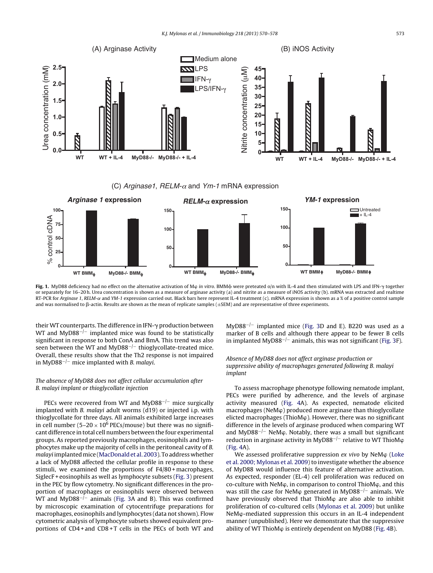<span id="page-4-0"></span>

(C) *Arginase1*,  $RELM-\alpha$  and  $Ym-1$  mRNA expression



Fig. 1. MyD88 deficiency had no effect on the alternative activation of M<sub>\tim</sub> in vitro. BMM $\phi$  were preteated o/n with IL-4 and then stimulated with LPS and IFN- $\gamma$  together or separately for 16–20 h. Urea concentration is shown as a measure of arginase activity (a) and nitrite as a measure of iNOS activity (b). mRNA was extracted and realtime RT-PCR for Arginase 1, RELM- $\alpha$  and YM-1 expression carried out. Black bars here represent IL-4 treatment (c). mRNA expression is shown as a % of a positive control sample and was normalised to  $\beta$ -actin. Results are shown as the mean of replicate samples ( $\pm$ SEM) and are representative of three experiments.

their WT counterparts. The difference in IFN- $\gamma$  production between WT and MyD88<sup>-/-</sup> implanted mice was found to be statistically significant in response to both ConA and BmA. This trend was also seen between the WT and MyD88<sup> $-/-$ </sup> thioglycollate-treated mice. Overall, these results show that the Th2 response is not impaired in MyD88<sup>-/-</sup> mice implanted with *B*. *malayi*.

#### The absence of MyD88 does not affect cellular accumulation after B. malayi implant or thioglycollate injection

PECs were recovered from WT and MyD88<sup>-/−</sup> mice surgically implanted with B. malayi adult worms (d19) or injected i.p. with thioglycollate for three days. All animals exhibited large increases in cell number (5–20  $\times$  10<sup>6</sup> PECs/mouse) but there was no significant difference in total cell numbers between the four experimental groups. As reported previously macrophages, eosinophils and lymphocytes make up the majority of cells in the peritoneal cavity of B. malayi implanted mice (MacDonald et [al.](#page-9-0) [2003\).](#page-9-0) To address whether a lack of MyD88 affected the cellular profile in response to these stimuli, we examined the proportions of F4/80 + macrophages, SiglecF + eosinophils as well as lymphocyte subsets ([Fig.](#page-6-0) 3) present in the PEC by flow cytometry. No significant differences in the proportion of macrophages or eosinophils were observed between WT and MyD88<sup>-*j*-</sup> animals ([Fig.](#page-6-0) 3A and B). This was confirmed by microscopic examination of cytocentrifuge preparations for macrophages, eosinophils and lymphocytes (data not shown). Flow cytometric analysis of lymphocyte subsets showed equivalent proportions of CD4 + and CD8 + T cells in the PECs of both WT and MyD88<sup>-/-</sup> implanted mice ([Fig.](#page-6-0) 3D and E). B220 was used as a marker of B cells and although there appear to be fewer B cells in implanted MyD88−/<sup>−</sup> animals, this was not significant ([Fig.](#page-6-0) 3F).

#### Absence of MyD88 does not affect arginase production or suppressive ability of macrophages generated following B. malayi implant

To assess macrophage phenotype following nematode implant, PECs were purified by adherence, and the levels of arginase activity measured ([Fig.](#page-6-0) 4A). As expected, nematode elicited  $macrophages (NeM $\phi$ ) produced more arginase than thioglycollate$ elicted macrophages (ThioM $\varphi$ ). However, there was no significant difference in the levels of arginase produced when comparing WT and MyD88<sup>-/-</sup> NeM $\varphi$ . Notably, there was a small but significant reduction in arginase activity in MyD88<sup>-/-</sup> relative to WT ThioMφ [\(Fig.](#page-6-0) 4A).

We assessed proliferative suppression  $ex$  vivo by NeM $\varphi$  [\(Loke](#page-9-0) et [al.](#page-9-0) [2000;](#page-9-0) [Mylonas](#page-9-0) et [al.](#page-9-0) [2009\)](#page-9-0) to investigate whether the absence of MyD88 would influence this feature of alternative activation. As expected, responder (EL-4) cell proliferation was reduced on co-culture with NeM $\varphi$ , in comparison to control ThioM $\varphi$ , and this was still the case for NeM $\varphi$  generated in MyD88<sup>-/-</sup> animals. We have previously observed that ThioM $\varphi$  are also able to inhibit proliferation of co-cultured cells ([Mylonas](#page-9-0) et [al.](#page-9-0) [2009\)](#page-9-0) but unlike  $N$ eM $\phi$ -mediated suppression this occurs in an IL-4 independent manner (unpublished). Here we demonstrate that the suppressive ability of WT ThioM $\varphi$  is entirely dependent on MyD88 ([Fig.](#page-6-0) 4B).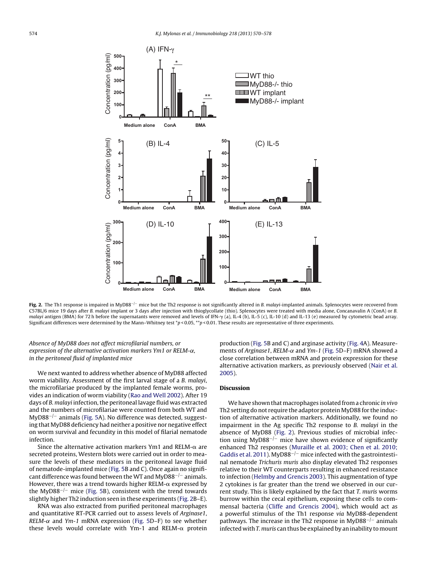<span id="page-5-0"></span>

**Fig.** 2. The Th1 response is impaired in MyD88<sup>-/-</sup> mice but the Th2 response is not significantly altered in B. malayi-implanted animals. Splenocytes were recovered from C57BL/6 mice 19 days after B. malayi implant or 3 days after injection with thioglycollate (thio). Splenocytes were treated with media alone, Concanavalin A (ConA) or B. malayi antigen (BMA) for 72 h before the supernatants were removed and levels of IFN- $\gamma$  (a), IL-4 (b), IL-5 (c), IL-10 (d) and IL-13 (e) measured by cytometric bead array. Significant differences were determined by the Mann–Whitney test \*p < 0.05, \*\*p < 0.01. These results are representative of three experiments.

Absence of MyD88 does not affect microfilarial numbers, or expression of the alternative activation markers Ym1 or RELM- $\alpha$ , in the peritoneal fluid of implanted mice

We next wanted to address whether absence of MyD88 affected worm viability. Assessment of the first larval stage of a B. malayi, the microfilariae produced by the implanted female worms, provides an indication of worm viability [\(Rao](#page-9-0) [and](#page-9-0) [Well](#page-9-0) [2002\).](#page-9-0) After 19 days of B. malayi infection, the peritoneal lavage fluid was extracted and the numbers of microfilariae were counted from both WT and MyD88−/<sup>−</sup> animals [\(Fig.](#page-7-0) 5A). No difference was detected, suggesting that MyD88 deficiency had neither a positive nor negative effect on worm survival and fecundity in this model of filarial nematode infection.

Since the alternative activation markers Ym1 and RELM- $\alpha$  are secreted proteins, Western blots were carried out in order to measure the levels of these mediators in the peritoneal lavage fluid of nematode-implanted mice [\(Fig.](#page-7-0) 5B and C). Once again no significant difference was found between the WT and MyD88<sup>-/-</sup> animals. However, there was a trend towards higher RELM- $\alpha$  expressed by the MyD88−/<sup>−</sup> mice [\(Fig.](#page-7-0) 5B), consistent with the trend towards slightly higher Th2 induction seen in these experiments (Fig. 2B–E).

RNA was also extracted from purified peritoneal macrophages and quantitative RT-PCR carried out to assess levels of Arginase1,  $RELM-\alpha$  and Ym-1 mRNA expression [\(Fig.](#page-7-0) 5D–F) to see whether these levels would correlate with Ym-1 and RELM- $\alpha$  protein

production [\(Fig.](#page-7-0) 5B and C) and arginase activity [\(Fig.](#page-6-0) 4A). Measurements of Arginase1, RELM- $\alpha$  and Ym-1 ([Fig.](#page-7-0) 5D-F) mRNA showed a close correlation between mRNA and protein expression for these alternative activation markers, as previously observed [\(Nair](#page-9-0) et [al.](#page-9-0) [2005\).](#page-9-0)

#### **Discussion**

We have shown that macrophages isolated from a chronic in vivo Th2 setting do not require the adaptor protein MyD88 for the induction of alternative activation markers. Additionally, we found no impairment in the Ag specific Th2 response to B. malayi in the absence of MyD88 (Fig. 2). Previous studies of microbial infection using MyD88−/<sup>−</sup> mice have shown evidence of significantly enhanced Th2 responses ([Muraille](#page-9-0) et [al.](#page-9-0) [2003;](#page-9-0) [Chen](#page-9-0) et [al.](#page-9-0) [2010;](#page-9-0) [Gaddis](#page-9-0) et [al.](#page-9-0) [2011\).](#page-9-0) MyD88<sup>-/-</sup> mice infected with the gastrointestinal nematode Trichuris muris also display elevated Th2 responses relative to their WT counterparts resulting in enhanced resistance to infection [\(Helmby](#page-8-0) [and](#page-8-0) [Grencis](#page-8-0) [2003\).](#page-8-0) This augmentation of type 2 cytokines is far greater than the trend we observed in our current study. This is likely explained by the fact that T. muris worms burrow within the cecal epithelium, exposing these cells to commensal bacteria ([Cliffe](#page-8-0) [and](#page-8-0) [Grencis](#page-8-0) [2004\),](#page-8-0) which would act as a powerful stimulus of the Th1 response via MyD88-dependent pathways. The increase in the Th2 response in MyD88<sup>−/−</sup> animals infected with T. muris can thus be explained by an inability tomount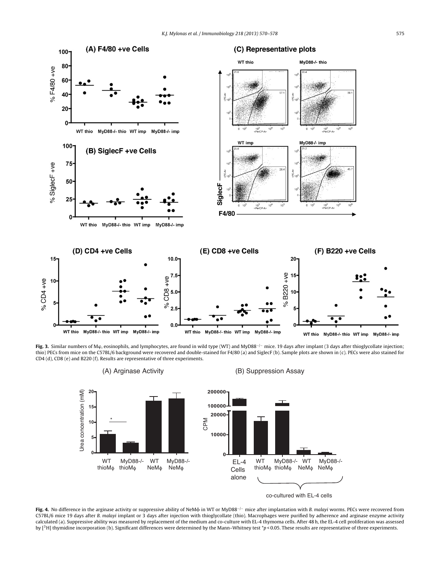<span id="page-6-0"></span>

**Fig. 3.** Similar numbers of M<sub>φ</sub>, eosinophils, and lymphocytes, are found in wild type (WT) and MyD88<sup>-/-</sup> mice. 19 days after implant (3 days after thioglycollate injection; thio) PECs from mice on the C57BL/6 background were recovered and double-stained for F4/80 (a) and SiglecF (b). Sample plots are shown in (c). PECs were also stained for CD4 (d), CD8 (e) and B220 (f). Results are representative of three experiments.









Fig. 4. No difference in the arginase activity or suppressive ability of NeMφ in WT or MyD88<sup>-/−</sup> mice after implantation with B. malayi worms. PECs were recovered from C57BL/6 mice 19 days after B. malayi implant or 3 days after injection with thioglycollate (thio). Macrophages were purified by adherence and arginase enzyme activity calculated (a). Suppressive ability was measured by replacement of the medium and co-culture with EL-4 thymoma cells. After 48 h, the EL-4 cell proliferation was assessed by [<sup>3</sup>H] thymidine incorporation (b). Significant differences were determined by the Mann–Whitney test  $\tau_p$  < 0.05. These results are representative of three experiments.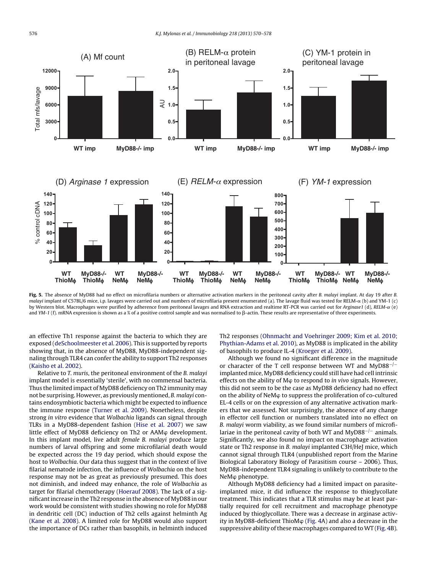<span id="page-7-0"></span>

**Fig. 5.** The absence of MyD88 had no effect on microfilaria numbers or alternative activation markers in the peritoneal cavity after B. malayi implant. At day 19 after B. malayi implant of C57BL/6 mice, i.p. lavages were carried out and numbers of microfilaria present enumerated (a). The lavage fluid was tested for RELM- $\alpha$  (b) and YM-1 (c) by Western blot. Macrophages were purified by adherence from peritoneal lavages and RNA extraction and realtime RT-PCR was carried out for Arginase1 (d), RELM- $\alpha$  (e) and YM-1 (f). mRNA expression is shown as a % of a positive control sample and was normalised to  $\beta$ -actin. These results are representative of three experiments.

an effective Th1 response against the bacteria to which they are exposed ([deSchoolmeester](#page-8-0) et [al.](#page-8-0) [2006\).](#page-8-0) This is supported by reports showing that, in the absence of MyD88, MyD88-independent signaling through TLR4 can confer the ability to support Th2 responses ([Kaisho](#page-8-0) et [al.](#page-8-0) [2002\).](#page-8-0)

Relative to T. muris, the peritoneal environment of the B. malayi implant model is essentially 'sterile', with no commensal bacteria. Thus the limited impact of MyD88 deficiency on Th2 immunity may not be surprising. However, as previously mentioned, B. malayi contains endosymbiotic bacteria which might be expected to influence the immune response ([Turner](#page-9-0) et [al.](#page-9-0) [2009\).](#page-9-0) Nonetheless, despite strong in vitro evidence that Wolbachia ligands can signal through TLRs in a MyD88-dependent fashion ([Hise](#page-8-0) et [al.](#page-8-0) [2007\)](#page-8-0) we saw little effect of MyD88 deficiency on Th2 or AAM  $\phi$  development. In this implant model, live adult female B. malayi produce large numbers of larval offspring and some microfilarial death would be expected across the 19 day period, which should expose the host to Wolbachia. Our data thus suggest that in the context of live filarial nematode infection, the influence of Wolbachia on the host response may not be as great as previously presumed. This does not diminish, and indeed may enhance, the role of Wolbachia as target for filarial chemotherapy [\(Hoerauf](#page-8-0) [2008\).](#page-8-0) The lack of a significantincrease in the Th2 response in the absence of MyD88 in our work would be consistent with studies showing no role for MyD88 in dendritic cell (DC) induction of Th2 cells against helminth Ag ([Kane](#page-8-0) et [al.](#page-8-0) [2008\).](#page-8-0) A limited role for MyD88 would also support the importance of DCs rather than basophils, in helminth induced Th2 responses ([Ohnmacht](#page-9-0) [and](#page-9-0) [Voehringer](#page-9-0) [2009;](#page-9-0) [Kim](#page-9-0) et [al.](#page-9-0) [2010;](#page-9-0) [Phythian-Adams](#page-9-0) et [al.](#page-9-0) [2010\),](#page-9-0) as MyD88 is implicated in the ability of basophils to produce IL-4 [\(Kroeger](#page-8-0) et [al.](#page-8-0) [2009\).](#page-8-0)

Although we found no significant difference in the magnitude or character of the T cell response between WT and MyD88−/<sup>−</sup> implanted mice, MyD88 deficiency could still have had cell intrinsic effects on the ability of  $M\varphi$  to respond to in vivo signals. However, this did not seem to be the case as MyD88 deficiency had no effect on the ability of NeM $\varphi$  to suppress the proliferation of co-cultured EL-4 cells or on the expression of any alternative activation markers that we assessed. Not surprisingly, the absence of any change in effector cell function or numbers translated into no effect on B. malayi worm viability, as we found similar numbers of microfilariae in the peritoneal cavity of both WT and MyD88−/<sup>−</sup> animals. Significantly, we also found no impact on macrophage activation state or Th2 response in B. malayi implanted C3H/HeJ mice, which cannot signal through TLR4 (unpublished report from the Marine Biological Laboratory Biology of Parasitism course – 2006). Thus, MyD88-independent TLR4 signaling is unlikely to contribute to the NeM<sub>p</sub> phenotype.

Although MyD88 deficiency had a limited impact on parasiteimplanted mice, it did influence the response to thioglycollate treatment. This indicates that a TLR stimulus may be at least partially required for cell recruitment and macrophage phenotype induced by thioglycollate. There was a decrease in arginase activity in MyD88-deficient ThioM $\varphi$  [\(Fig.](#page-6-0) 4A) and also a decrease in the suppressive ability of these macrophages compared to WT [\(Fig.](#page-6-0) 4B).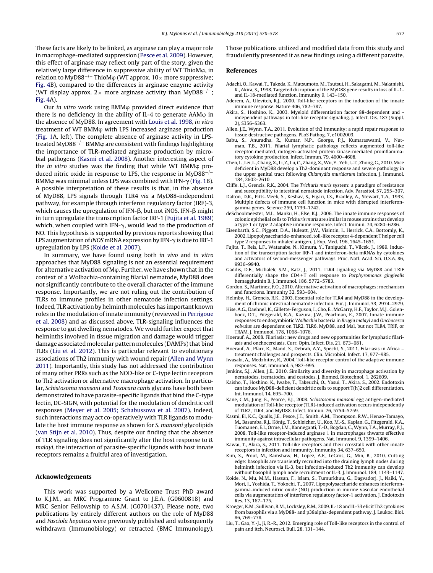<span id="page-8-0"></span>These facts are likely to be linked, as arginase can play a major role in macrophage-mediated suppression ([Pesce](#page-9-0) et [al.](#page-9-0) [2009\).](#page-9-0) However, this effect of arginase may reflect only part of the story, given the relatively large difference in suppressive ability of WT ThioM $\varphi$ , in relation to MyD88<sup>-/-</sup> ThioMφ (WT approx. 10× more suppressive; [Fig.](#page-6-0) 4B), compared to the differences in arginase enzyme activity (WT display approx. 2× more arginase activity than MyD88<sup>-/-</sup>; [Fig.](#page-6-0) 4A).

Our in vitro work using  $BMM\varphi$  provided direct evidence that there is no deficiency in the ability of IL-4 to generate  $AAM\varphi$  in the absence of MyD88. In agreement with [Louis](#page-9-0) et [al.](#page-9-0) [1998,](#page-9-0) in vitro treatment of WT BMM<sub>(p</sub> with LPS increased arginase production ([Fig.](#page-4-0) 1A, left). The complete absence of arginase activity in LPStreated MyD88<sup>-/-</sup> BMM $\varphi$  are consistent with findings highlighting the importance of TLR-mediated arginase production by microbial pathogens (Kasmi et al. 2008). Another interesting aspect of the *in vitro* studies was the finding that while WT BMM $\varphi$  produced nitric oxide in response to LPS, the response in MyD88−/<sup>−</sup> BMM $\varphi$  was minimal unless LPS was combined with IFN- $\gamma$  ([Fig.](#page-4-0) 1B). A possible interpretation of these results is that, in the absence of MyD88, LPS signals through TLR4 via a MyD88-independent pathway, for example through interferon regulatory factor (IRF)-3, which causes the upregulation of IFN- $\beta$ , but not iNOS. IFN- $\beta$  might in turn upregulate the transcription factor IRF-1 (Fujita et al. 1989) which, when coupled with IFN- $\gamma$ , would lead to the production of NO. This hypothesis is supported by previous reports showing that LPS augmentation of iNOS mRNA expression by IFN- $\gamma$  is due to IRF-1 upregulation by LPS (Koide et al. 2007).

In summary, we have found using both in vivo and in vitro approaches that MyD88 signaling is not an essential requirement for alternative activation of  $M\varphi$ . Further, we have shown that in the context of a Wolbachia-containing filarial nematode, MyD88 does not significantly contribute to the overall character of the immune response. Importantly, we are not ruling out the contribution of TLRs to immune profiles in other nematode infection settings. Indeed, TLR activation by helminth molecules has important known roles in the modulation of innate immunity (reviewed in [Perrigoue](#page-9-0) et [al.](#page-9-0) [2008\)](#page-9-0) and as discussed above, TLR-signaling influences the response to gut dwelling nematodes. We would further expect that helminths involved in tissue migration and damage would trigger damage associated molecular pattern molecules (DAMPs) that bind TLRs (Liu et al. 2012). This is particular relevant to evolutionary associations of Th2 immunity with wound repair (Allen and Wynn 2011). Importantly, this study has not addressed the contribution of many other PRRs such as the NOD-like or C-type lectin receptors to Th2 activation or alternative macrophage activation. In particular, Schistosoma mansoni and Toxocara canis glycans have both been demonstrated to have parasite-specific ligands that bind the C-type lectin, DC-SIGN, with potential for the modulation of dendritic cell responses [\(Meyer](#page-9-0) et [al.](#page-9-0) [2005;](#page-9-0) [Schabussova](#page-9-0) et [al.](#page-9-0) [2007\).](#page-9-0) Indeed, such interactions may act co-operatively with TLR ligands to modulate the host immune response as shown for S. mansoni glycolipids ([van](#page-9-0) [Stijn](#page-9-0) et [al.](#page-9-0) [2010\).](#page-9-0) Thus, despite our finding that the absence of TLR signaling does not significantly alter the host response to B. malayi, the interaction of parasite-specific ligands with host innate receptors remains a fruitful area of investigation.

#### **Acknowledgements**

This work was supported by a Wellcome Trust PhD award to K.J.M., an MRC Programme Grant to J.E.A. (G0600818) and MRC Senior Fellowship to A.S.M. (G0701437). Please note, two publications by entirely different authors on the role of MyD88 and Fasciola hepatica were previously published and subsequently withdrawn (Immunobiology) or retracted (BMC Immunology). Those publications utilized and modified data from this study and fraudulently presented it as new findings using a different parasite.

#### **References**

- Adachi, O., Kawai, T., Takeda, K., Matsumoto, M., Tsutsui, H., Sakagami, M., Nakanishi, K., Akira, S., 1998. Targeted disruption of the MyD88 gene results in loss of IL-1 and IL-18-mediated function. Immunity 9, 143–150.
- Aderem, A., Ulevitch, R.J., 2000. Toll-like receptors in the induction of the innate immune response. Nature 406, 782–787.
- Akira, S., Hoshino, K., 2003. Myeloid differentiation factor 88-dependent and independent pathways in toll-like receptor signaling. J. Infect. Dis. 187 (Suppl. 2), S356–S363.
- Allen, J.E., Wynn, T.A., 2011. Evolution of th2 immunity: a rapid repair response to tissue destructive pathogens. PLoS Pathog. 7, e1002003.
- Babu, S., Anuradha, R., Kumar, N.P., George, P.J., Kumaraswami, V., man, T.B., 2011. Filarial lymphatic pathology reflects augmented toll-like receptor-mediated, mitogen-activated protein kinase-mediated proinflammatory cytokine production. Infect. Immun. 79, 4600–4608.
- Chen, L., Lei, L., Chang, X., Li, Z., Lu, C., Zhang, X., Wu, Y., Yeh, I.-T., Zhong, G., 2010. Mice deficient in MyD88 develop a Th2-dominant response and severe pathology in the upper genital tract following Chlamydia muridarum infection. J. Immunol. 184, 2602–2610.
- Cliffe, L.J., Grencis, R.K., 2004. The Trichuris muris system: a paradigm of resistance and susceptibility to intestinal nematode infection. Adv. Parasitol. 57, 255–307.
- Dalton, D.K., Pitts-Meek, S., Keshav, S., Figari, I.S., Bradley, A., Stewart, T.A., 1993. Multiple defects of immune cell function in mice with disrupted interferongamma genes. Science 259, 1739–1742.
- deSchoolmeester, M.L., Manku, H., Else, K.J., 2006. The innate immune responses of colonic epithelial cells to Trichuris muris are similar inmouse strains that develop a type 1 or type 2 adaptive immune response. Infect. Immun. 74, 6280–6286.
- Eisenbarth, S.C., Piggott, D.A., Huleatt, J.W., Visintin, I., Herrick, C.A., Bottomly, K., 2002. Lipopolysaccharide-enhanced, toll-like receptor 4-dependent Thelper cell type 2 responses to inhaled antigen. J. Exp. Med. 196, 1645–1651.
- Fujita, T., Reis, L.F., Watanabe, N., Kimura, Y., Taniguchi, T., Vilcek, J., 1989. Induction of the transcription factor IRF-1 and interferon-beta mRNAs by cytokines and activators of second-messenger pathways. Proc. Natl. Acad. Sci. U.S.A. 86, 9936–9940.
- Gaddis, D.E., Michalek, S.M., Katz, J., 2011. TLR4 signaling via MyD88 and TRIF differentially shape the  $CD4+T$  cell response to Porphyromonas gingivalis hemagglutinin B. J. Immunol. 186, 5772–5783.
- Gordon, S., Martinez, F.O., 2010. Alternative activation of macrophages: mechanism and functions. Immunity 32, 593–604.
- Helmby, H., Grencis, R.K., 2003. Essential role for TLR4 and MyD88 in the development of chronic intestinal nematode infection. Eur. J. Immunol. 33, 2974–2979.
- Hise, A.G., Daehnel, K., Gillette-Ferguson, I., Cho, E., McGarry, H.F., Taylor, M.J., Golenbock, D.T., Fitzgerald, K.A., Kazura, J.W., Pearlman, E., 2007. Innate immune responses to endosymbiotic Wolbachia bacteria in Brugia malayi and Onchocerca volvulus are dependent on TLR2, TLR6, MyD88, and Mal, but not TLR4, TRIF, or TRAM. J. Immunol. 178, 1068–1076.
- Hoerauf, A., 2008. Filariasis: new drugs and new opportunities for lymphatic filariasis and onchocerciasis. Curr. Opin. Infect. Dis. 21, 673–681.
- Hoerauf, A., Pfarr, K., Mand, S., Debrah, A.Y., Specht, S., 2011. Filariasis in Africa treatment challenges and prospects. Clin. Microbiol. Infect. 17, 977–985.
- Iwasaki, A., Medzhitov, R., 2004. Toll-like receptor control of the adaptive immune responses. Nat. Immunol. 5, 987–995.
- Jenkins, S.J., Allen, J.E., 2010. Similarity and diversity in macrophage activation by nematodes, trematodes, and cestodes. J. Biomed. Biotechnol. 1, 262609.
- Kaisho, T., Hoshino, K., Iwabe, T., Takeuchi, O., Yasui, T., Akira, S., 2002. Endotoxin can induce MyD88-deficient dendritic cells to support T(h)2 cell differentiation. Int. Immunol. 14, 695–700.
- Kane, C.M., Jung, E., Pearce, E.J., 2008. Schistosoma mansoni egg antigen-mediated modulation of Toll-like receptor (TLR)-induced activation occurs independently of TLR2, TLR4, and MyD88. Infect. Immun. 76, 5754–5759.
- Kasmi, El, K.C., Qualls, J.E., Pesce, J.T., Smith, A.M., Thompson, R.W., Henao-Tamayo, M., Basaraba, R.J., König, T., Schleicher, U., Koo, M.-S., Kaplan, G., Fitzgerald, K.A., Tuomanen, E.I., Orme, I.M., Kanneganti, T.-D., Bogdan, C.,Wynn, T.A., Murray, P.J., 2008. Toll-like receptor-induced arginase 1 in macrophages thwarts effective immunity against intracellular pathogens. Nat. Immunol. 9, 1399–1406.
- Kawai, T., Akira, S., 2011. Toll-like receptors and their crosstalk with other innate receptors in infection and immunity. Immunity 34, 637–650.
- Kim, S., Prout, M., Ramshaw, H., Lopez, A.F., LeGros, G., Min, B., 2010. Cutting edge: basophils are transiently recruited into the draining lymph nodes during helminth infection via IL-3, but infection-induced Th2 immunity can develop without basophil lymph node recruitment or IL-3. J. Immunol. 184, 1143–1147.
- Koide, N., Mu, M.M., Hassan, F., Islam, S., Tumurkhuu, G., Dagvadorj, J., Naiki, Y., Mori, I., Yoshida, T., Yokochi, T., 2007. Lipopolysaccharide enhances interferongamma-induced nitric oxide (NO) production in murine vascular endothelial cells via augmentation of interferon regulatory factor-1 activation. J. Endotoxin Res. 13, 167–175.
- Kroeger, K.M., Sullivan, B.M., Locksley, R.M., 2009. IL-18 and IL-33 elicit Th2 cytokines from basophils via a MyD88- and p38alpha-dependent pathway. J. Leukoc. Biol. 86, 769–778.
- Liu, T., Gao, Y.-J., Ji, R.-R., 2012. Emerging role of Toll-like receptors in the control of pain and itch. Neurosci. Bull. 28, 131–144.